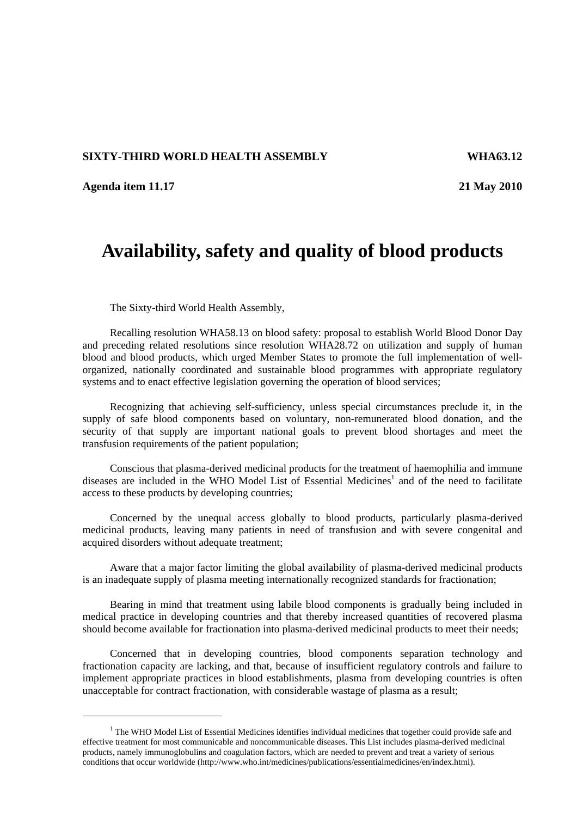## **SIXTY-THIRD WORLD HEALTH ASSEMBLY WHA63.12**

**Agenda item 11.17 21 May 2010** 

## **Availability, safety and quality of blood products**

The Sixty-third World Health Assembly,

Recalling resolution WHA58.13 on blood safety: proposal to establish World Blood Donor Day and preceding related resolutions since resolution WHA28.72 on utilization and supply of human blood and blood products, which urged Member States to promote the full implementation of wellorganized, nationally coordinated and sustainable blood programmes with appropriate regulatory systems and to enact effective legislation governing the operation of blood services;

Recognizing that achieving self-sufficiency, unless special circumstances preclude it, in the supply of safe blood components based on voluntary, non-remunerated blood donation, and the security of that supply are important national goals to prevent blood shortages and meet the transfusion requirements of the patient population;

Conscious that plasma-derived medicinal products for the treatment of haemophilia and immune diseases are included in the WHO Model List of Essential Medicines<sup>1</sup> and of the need to facilitate access to these products by developing countries;

Concerned by the unequal access globally to blood products, particularly plasma-derived medicinal products, leaving many patients in need of transfusion and with severe congenital and acquired disorders without adequate treatment;

Aware that a major factor limiting the global availability of plasma-derived medicinal products is an inadequate supply of plasma meeting internationally recognized standards for fractionation;

Bearing in mind that treatment using labile blood components is gradually being included in medical practice in developing countries and that thereby increased quantities of recovered plasma should become available for fractionation into plasma-derived medicinal products to meet their needs;

Concerned that in developing countries, blood components separation technology and fractionation capacity are lacking, and that, because of insufficient regulatory controls and failure to implement appropriate practices in blood establishments, plasma from developing countries is often unacceptable for contract fractionation, with considerable wastage of plasma as a result;

<sup>&</sup>lt;sup>1</sup> The WHO Model List of Essential Medicines identifies individual medicines that together could provide safe and effective treatment for most communicable and noncommunicable diseases. This List includes plasma-derived medicinal products, namely immunoglobulins and coagulation factors, which are needed to prevent and treat a variety of serious conditions that occur worldwide (http://www.who.int/medicines/publications/essentialmedicines/en/index.html).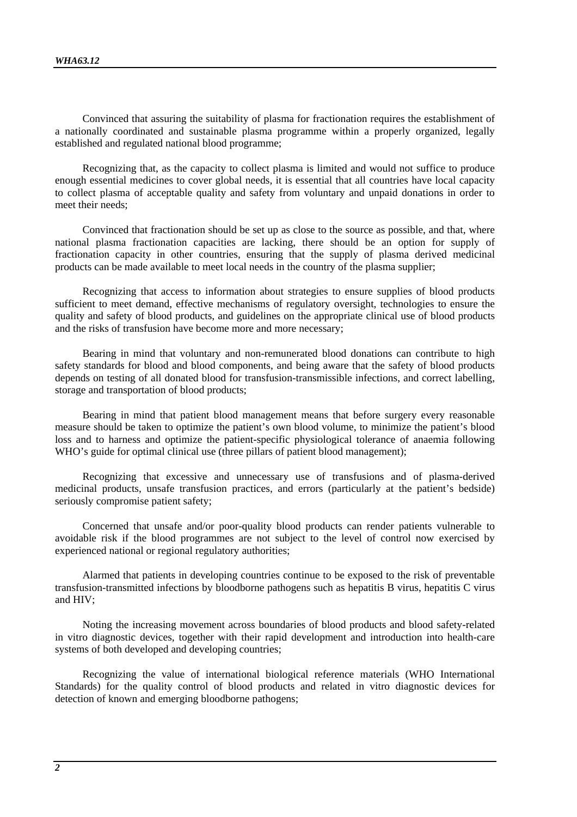Convinced that assuring the suitability of plasma for fractionation requires the establishment of a nationally coordinated and sustainable plasma programme within a properly organized, legally established and regulated national blood programme;

Recognizing that, as the capacity to collect plasma is limited and would not suffice to produce enough essential medicines to cover global needs, it is essential that all countries have local capacity to collect plasma of acceptable quality and safety from voluntary and unpaid donations in order to meet their needs;

Convinced that fractionation should be set up as close to the source as possible, and that, where national plasma fractionation capacities are lacking, there should be an option for supply of fractionation capacity in other countries, ensuring that the supply of plasma derived medicinal products can be made available to meet local needs in the country of the plasma supplier;

Recognizing that access to information about strategies to ensure supplies of blood products sufficient to meet demand, effective mechanisms of regulatory oversight, technologies to ensure the quality and safety of blood products, and guidelines on the appropriate clinical use of blood products and the risks of transfusion have become more and more necessary;

Bearing in mind that voluntary and non-remunerated blood donations can contribute to high safety standards for blood and blood components, and being aware that the safety of blood products depends on testing of all donated blood for transfusion-transmissible infections, and correct labelling, storage and transportation of blood products;

Bearing in mind that patient blood management means that before surgery every reasonable measure should be taken to optimize the patient's own blood volume, to minimize the patient's blood loss and to harness and optimize the patient-specific physiological tolerance of anaemia following WHO's guide for optimal clinical use (three pillars of patient blood management);

Recognizing that excessive and unnecessary use of transfusions and of plasma-derived medicinal products, unsafe transfusion practices, and errors (particularly at the patient's bedside) seriously compromise patient safety;

Concerned that unsafe and/or poor-quality blood products can render patients vulnerable to avoidable risk if the blood programmes are not subject to the level of control now exercised by experienced national or regional regulatory authorities;

Alarmed that patients in developing countries continue to be exposed to the risk of preventable transfusion-transmitted infections by bloodborne pathogens such as hepatitis B virus, hepatitis C virus and HIV;

Noting the increasing movement across boundaries of blood products and blood safety-related in vitro diagnostic devices, together with their rapid development and introduction into health-care systems of both developed and developing countries;

Recognizing the value of international biological reference materials (WHO International Standards) for the quality control of blood products and related in vitro diagnostic devices for detection of known and emerging bloodborne pathogens;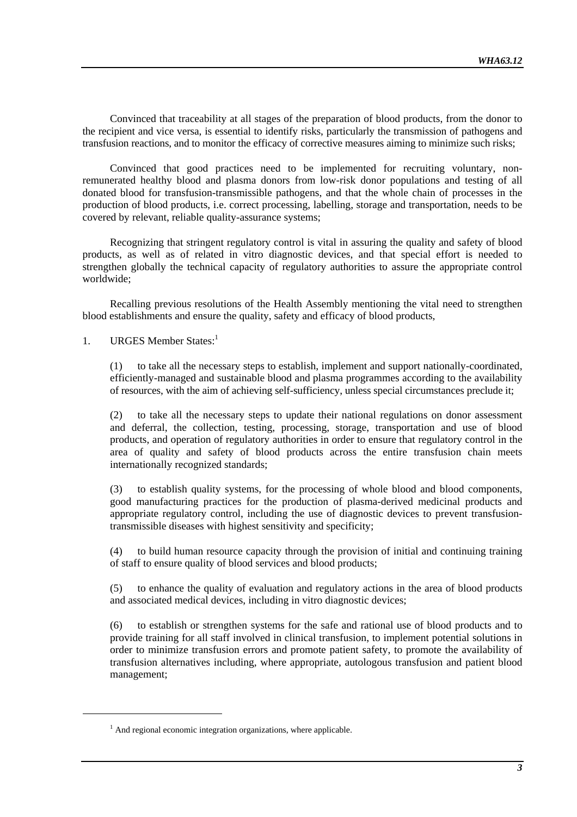Convinced that traceability at all stages of the preparation of blood products, from the donor to the recipient and vice versa, is essential to identify risks, particularly the transmission of pathogens and transfusion reactions, and to monitor the efficacy of corrective measures aiming to minimize such risks;

Convinced that good practices need to be implemented for recruiting voluntary, nonremunerated healthy blood and plasma donors from low-risk donor populations and testing of all donated blood for transfusion-transmissible pathogens, and that the whole chain of processes in the production of blood products, i.e. correct processing, labelling, storage and transportation, needs to be covered by relevant, reliable quality-assurance systems;

Recognizing that stringent regulatory control is vital in assuring the quality and safety of blood products, as well as of related in vitro diagnostic devices, and that special effort is needed to strengthen globally the technical capacity of regulatory authorities to assure the appropriate control worldwide;

Recalling previous resolutions of the Health Assembly mentioning the vital need to strengthen blood establishments and ensure the quality, safety and efficacy of blood products,

1. URGES Member States:<sup>1</sup>

(1) to take all the necessary steps to establish, implement and support nationally-coordinated, efficiently-managed and sustainable blood and plasma programmes according to the availability of resources, with the aim of achieving self-sufficiency, unless special circumstances preclude it;

(2) to take all the necessary steps to update their national regulations on donor assessment and deferral, the collection, testing, processing, storage, transportation and use of blood products, and operation of regulatory authorities in order to ensure that regulatory control in the area of quality and safety of blood products across the entire transfusion chain meets internationally recognized standards;

(3) to establish quality systems, for the processing of whole blood and blood components, good manufacturing practices for the production of plasma-derived medicinal products and appropriate regulatory control, including the use of diagnostic devices to prevent transfusiontransmissible diseases with highest sensitivity and specificity;

(4) to build human resource capacity through the provision of initial and continuing training of staff to ensure quality of blood services and blood products;

(5) to enhance the quality of evaluation and regulatory actions in the area of blood products and associated medical devices, including in vitro diagnostic devices;

(6) to establish or strengthen systems for the safe and rational use of blood products and to provide training for all staff involved in clinical transfusion, to implement potential solutions in order to minimize transfusion errors and promote patient safety, to promote the availability of transfusion alternatives including, where appropriate, autologous transfusion and patient blood management;

 $<sup>1</sup>$  And regional economic integration organizations, where applicable.</sup>